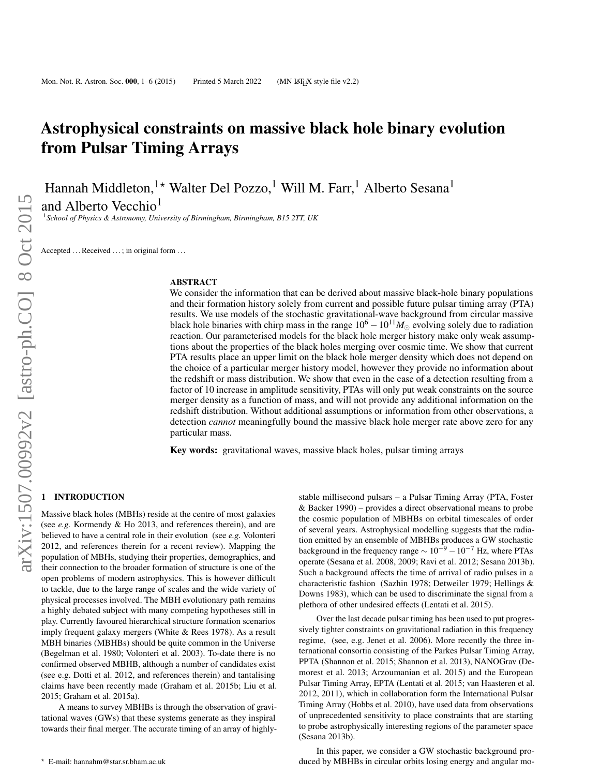# Astrophysical constraints on massive black hole binary evolution from Pulsar Timing Arrays

Hannah Middleton,<sup>1\*</sup> Walter Del Pozzo,<sup>1</sup> Will M. Farr,<sup>1</sup> Alberto Sesana<sup>1</sup>

and Alberto Vecchio<sup>1</sup>

<sup>1</sup>*School of Physics & Astronomy, University of Birmingham, Birmingham, B15 2TT, UK*

Accepted ... Received ...; in original form ...

#### ABSTRACT

We consider the information that can be derived about massive black-hole binary populations and their formation history solely from current and possible future pulsar timing array (PTA) results. We use models of the stochastic gravitational-wave background from circular massive black hole binaries with chirp mass in the range  $10^6 - 10^{11} M_{\odot}$  evolving solely due to radiation reaction. Our parameterised models for the black hole merger history make only weak assumptions about the properties of the black holes merging over cosmic time. We show that current PTA results place an upper limit on the black hole merger density which does not depend on the choice of a particular merger history model, however they provide no information about the redshift or mass distribution. We show that even in the case of a detection resulting from a factor of 10 increase in amplitude sensitivity, PTAs will only put weak constraints on the source merger density as a function of mass, and will not provide any additional information on the redshift distribution. Without additional assumptions or information from other observations, a detection *cannot* meaningfully bound the massive black hole merger rate above zero for any particular mass.

Key words: gravitational waves, massive black holes, pulsar timing arrays

### **INTRODUCTION**

Massive black holes (MBHs) reside at the centre of most galaxies (see *e.g.* Kormendy & Ho 2013, and references therein), and are believed to have a central role in their evolution (see *e.g.* Volonteri 2012, and references therein for a recent review). Mapping the population of MBHs, studying their properties, demographics, and their connection to the broader formation of structure is one of the open problems of modern astrophysics. This is however difficult to tackle, due to the large range of scales and the wide variety of physical processes involved. The MBH evolutionary path remains a highly debated subject with many competing hypotheses still in play. Currently favoured hierarchical structure formation scenarios imply frequent galaxy mergers (White & Rees 1978). As a result MBH binaries (MBHBs) should be quite common in the Universe (Begelman et al. 1980; Volonteri et al. 2003). To-date there is no confirmed observed MBHB, although a number of candidates exist (see e.g. Dotti et al. 2012, and references therein) and tantalising claims have been recently made (Graham et al. 2015b; Liu et al. 2015; Graham et al. 2015a).

A means to survey MBHBs is through the observation of gravitational waves (GWs) that these systems generate as they inspiral towards their final merger. The accurate timing of an array of highly-

stable millisecond pulsars – a Pulsar Timing Array (PTA, Foster & Backer 1990) – provides a direct observational means to probe the cosmic population of MBHBs on orbital timescales of order of several years. Astrophysical modelling suggests that the radiation emitted by an ensemble of MBHBs produces a GW stochastic background in the frequency range  $\sim 10^{-9} - 10^{-7}$  Hz, where PTAs operate (Sesana et al. 2008, 2009; Ravi et al. 2012; Sesana 2013b). Such a background affects the time of arrival of radio pulses in a characteristic fashion (Sazhin 1978; Detweiler 1979; Hellings & Downs 1983), which can be used to discriminate the signal from a plethora of other undesired effects (Lentati et al. 2015).

Over the last decade pulsar timing has been used to put progressively tighter constraints on gravitational radiation in this frequency regime, (see, e.g. Jenet et al. 2006). More recently the three international consortia consisting of the Parkes Pulsar Timing Array, PPTA (Shannon et al. 2015; Shannon et al. 2013), NANOGrav (Demorest et al. 2013; Arzoumanian et al. 2015) and the European Pulsar Timing Array, EPTA (Lentati et al. 2015; van Haasteren et al. 2012, 2011), which in collaboration form the International Pulsar Timing Array (Hobbs et al. 2010), have used data from observations of unprecedented sensitivity to place constraints that are starting to probe astrophysically interesting regions of the parameter space (Sesana 2013b).

In this paper, we consider a GW stochastic background produced by MBHBs in circular orbits losing energy and angular mo-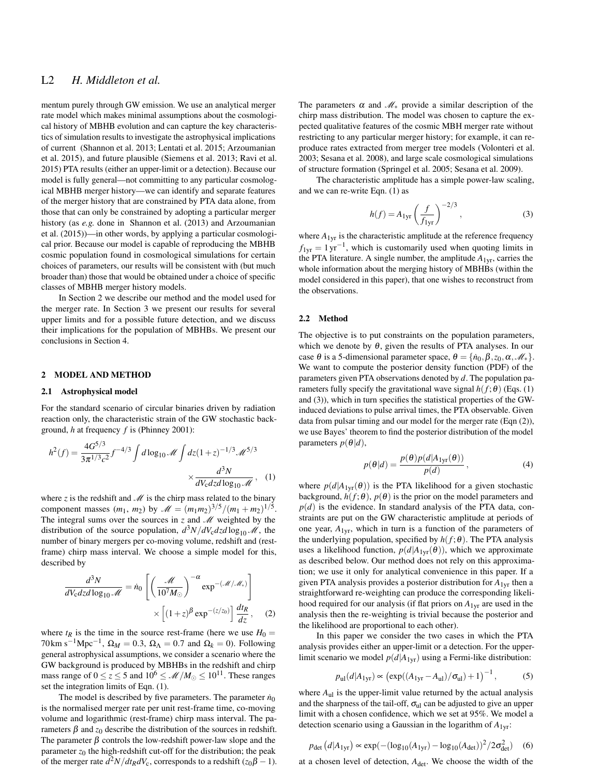# L2 *H. Middleton et al.*

mentum purely through GW emission. We use an analytical merger rate model which makes minimal assumptions about the cosmological history of MBHB evolution and can capture the key characteristics of simulation results to investigate the astrophysical implications of current (Shannon et al. 2013; Lentati et al. 2015; Arzoumanian et al. 2015), and future plausible (Siemens et al. 2013; Ravi et al. 2015) PTA results (either an upper-limit or a detection). Because our model is fully general—not committing to any particular cosmological MBHB merger history—we can identify and separate features of the merger history that are constrained by PTA data alone, from those that can only be constrained by adopting a particular merger history (as *e.g.* done in Shannon et al. (2013) and Arzoumanian et al. (2015))—in other words, by applying a particular cosmological prior. Because our model is capable of reproducing the MBHB cosmic population found in cosmological simulations for certain choices of parameters, our results will be consistent with (but much broader than) those that would be obtained under a choice of specific classes of MBHB merger history models.

In Section 2 we describe our method and the model used for the merger rate. In Section 3 we present our results for several upper limits and for a possible future detection, and we discuss their implications for the population of MBHBs. We present our conclusions in Section 4.

#### 2 MODEL AND METHOD

#### 2.1 Astrophysical model

For the standard scenario of circular binaries driven by radiation reaction only, the characteristic strain of the GW stochastic background, *h* at frequency *f* is (Phinney 2001):

$$
h^{2}(f) = \frac{4G^{5/3}}{3\pi^{1/3}c^{2}} f^{-4/3} \int d\log_{10} \mathcal{M} \int dz (1+z)^{-1/3} \mathcal{M}^{5/3}
$$

$$
\times \frac{d^{3}N}{dV_{c}dz d\log_{10} \mathcal{M}}, \quad (1)
$$

where  $z$  is the redshift and  $M$  is the chirp mass related to the binary component masses  $(m_1, m_2)$  by  $\mathcal{M} = (m_1 m_2)^{3/5} / (m_1 + m_2)^{1/5}$ . The integral sums over the sources in  $z$  and  $M$  weighted by the distribution of the source population,  $d^3N/dV_c dz d\log_{10} M$ , the number of binary mergers per co-moving volume, redshift and (restframe) chirp mass interval. We choose a simple model for this, described by

$$
\frac{d^3N}{dV_{\rm c}dzd\log_{10}\mathcal{M}} = \dot{n}_0 \left[ \left( \frac{\mathcal{M}}{10^7 M_{\odot}} \right)^{-\alpha} \exp^{-\left(\mathcal{M}/\mathcal{M}_*\right)} \right] \times \left[ (1+z)^{\beta} \exp^{-\left(\frac{z}{z_0}\right)} \right] \frac{dI_R}{dz}, \quad (2)
$$

where  $t_R$  is the time in the source rest-frame (here we use  $H_0 =$ 70 km s<sup>-1</sup>Mpc<sup>-1</sup>,  $\Omega_M = 0.3$ ,  $\Omega_{\Lambda} = 0.7$  and  $\Omega_k = 0$ ). Following general astrophysical assumptions, we consider a scenario where the GW background is produced by MBHBs in the redshift and chirp mass range of  $0 \le z \le 5$  and  $10^6 \le \mathcal{M}/M_{\odot} \le 10^{11}$ . These ranges set the integration limits of Eqn. (1).

The model is described by five parameters. The parameter  $\dot{n}_0$ is the normalised merger rate per unit rest-frame time, co-moving volume and logarithmic (rest-frame) chirp mass interval. The parameters  $β$  and  $z<sub>0</sub>$  describe the distribution of the sources in redshift. The parameter  $\beta$  controls the low-redshift power-law slope and the parameter  $z_0$  the high-redshift cut-off for the distribution; the peak of the merger rate  $d^2N/dt_R dV_c$ , corresponds to a redshift ( $z_0\beta - 1$ ). The parameters  $\alpha$  and  $\mathcal{M}_{*}$  provide a similar description of the chirp mass distribution. The model was chosen to capture the expected qualitative features of the cosmic MBH merger rate without restricting to any particular merger history; for example, it can reproduce rates extracted from merger tree models (Volonteri et al. 2003; Sesana et al. 2008), and large scale cosmological simulations of structure formation (Springel et al. 2005; Sesana et al. 2009).

The characteristic amplitude has a simple power-law scaling, and we can re-write Eqn. (1) as

$$
h(f) = A_{1yr} \left(\frac{f}{f_{1yr}}\right)^{-2/3},
$$
 (3)

where  $A_{1yr}$  is the characteristic amplitude at the reference frequency  $f_{1yr} = 1 \text{ yr}^{-1}$ , which is customarily used when quoting limits in the PTA literature. A single number, the amplitude  $A_{1yr}$ , carries the whole information about the merging history of MBHBs (within the model considered in this paper), that one wishes to reconstruct from the observations.

#### 2.2 Method

The objective is to put constraints on the population parameters, which we denote by  $\theta$ , given the results of PTA analyses. In our case  $\theta$  is a 5-dimensional parameter space,  $\theta = {\lbrace \dot{n}_0, \beta, z_0, \alpha, \mathcal{M}_* \rbrace}$ . We want to compute the posterior density function (PDF) of the parameters given PTA observations denoted by *d*. The population parameters fully specify the gravitational wave signal  $h(f; \theta)$  (Eqs. (1) and (3)), which in turn specifies the statistical properties of the GWinduced deviations to pulse arrival times, the PTA observable. Given data from pulsar timing and our model for the merger rate (Eqn (2)), we use Bayes' theorem to find the posterior distribution of the model parameters  $p(\theta|d)$ ,

$$
p(\theta|d) = \frac{p(\theta)p(d|A_{1yr}(\theta))}{p(d)},
$$
\n(4)

where  $p(d|A_{1vr}(\theta))$  is the PTA likelihood for a given stochastic background,  $h(f; \theta)$ ,  $p(\theta)$  is the prior on the model parameters and  $p(d)$  is the evidence. In standard analysis of the PTA data, constraints are put on the GW characteristic amplitude at periods of one year,  $A_{1yr}$ , which in turn is a function of the parameters of the underlying population, specified by  $h(f; \theta)$ . The PTA analysis uses a likelihood function,  $p(d|A_{1yr}(\theta))$ , which we approximate as described below. Our method does not rely on this approximation; we use it only for analytical convenience in this paper. If a given PTA analysis provides a posterior distribution for *A*1yr then a straightforward re-weighting can produce the corresponding likelihood required for our analysis (if flat priors on *A*1yr are used in the analysis then the re-weighting is trivial because the posterior and the likelihood are proportional to each other).

In this paper we consider the two cases in which the PTA analysis provides either an upper-limit or a detection. For the upperlimit scenario we model  $p(d|A_{1yr})$  using a Fermi-like distribution:

$$
p_{\rm ul}(d|A_{\rm 1yr}) \propto \left(\exp((A_{\rm 1yr} - A_{\rm ul})/\sigma_{\rm ul}) + 1\right)^{-1},
$$
 (5)

where  $A_{ul}$  is the upper-limit value returned by the actual analysis and the sharpness of the tail-off,  $\sigma_{ul}$  can be adjusted to give an upper limit with a chosen confidence, which we set at 95%. We model a detection scenario using a Gaussian in the logarithm of *A*1yr:

$$
p_{\text{det}}\left(d|A_{1\text{yr}}\right) \propto \exp(-(log_{10}(A_{1\text{yr}}) - log_{10}(A_{\text{det}}))^2 / 2\sigma_{\text{det}}^2)
$$
 (6)

at a chosen level of detection,  $A_{\text{det}}$ . We choose the width of the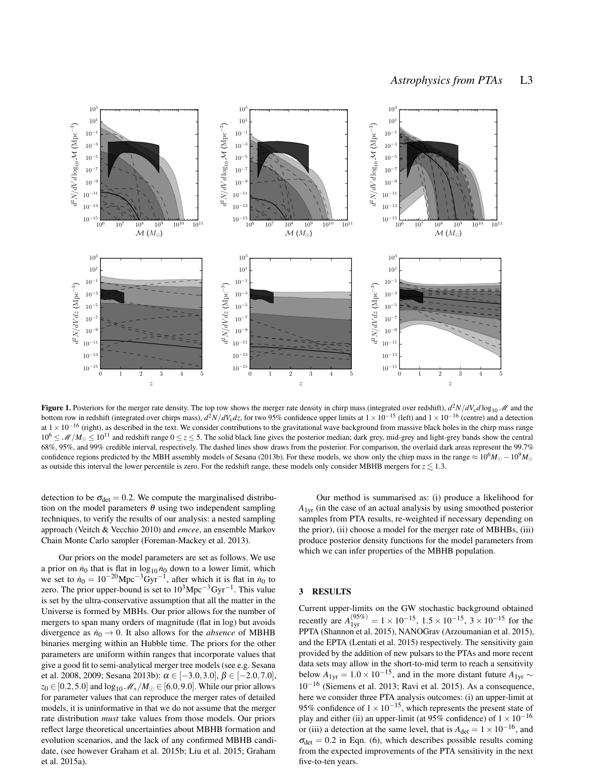

Figure 1. Posteriors for the merger rate density. The top row shows the merger rate density in chirp mass (integrated over redshift),  $d^2N/dV_c d\log_{10} M$  and the bottom row in redshift (integrated over chirps mass), *d* <sup>2</sup>*N*/*dV*c*dz*, for two 95% confidence upper limits at <sup>1</sup>×10−<sup>15</sup> (left) and <sup>1</sup>×10−<sup>16</sup> (centre) and a detection at  $1 \times 10^{-16}$  (right), as described in the text. We consider contributions to the gravitational wave background from massive black holes in the chirp mass range  $10^6 \leq M/M_{\odot} \leq 10^{11}$  and redshift range  $0 \leq z \leq 5$ . The solid black line gives the posterior median; dark grey, mid-grey and light-grey bands show the central 68%, 95%, and 99% credible interval, respectively. The dashed lines show draws from the posterior. For comparison, the overlaid dark areas represent the 99.7% confidence regions predicted by the MBH assembly models of Sesana (2013b). For these models, we show only the chirp mass in the range  $\approx 10^6 M_{\odot} - 10^9 M_{\odot}$ as outside this interval the lower percentile is zero. For the redshift range, these models only consider MBHB mergers for  $z \lesssim 1.3$ .

detection to be  $\sigma_{\text{det}} = 0.2$ . We compute the marginalised distribution on the model parameters  $\theta$  using two independent sampling techniques, to verify the results of our analysis: a nested sampling approach (Veitch & Vecchio 2010) and *emcee*, an ensemble Markov Chain Monte Carlo sampler (Foreman-Mackey et al. 2013).

Our priors on the model parameters are set as follows. We use a prior on  $\dot{n}_0$  that is flat in  $\log_{10} \dot{n}_0$  down to a lower limit, which we set to  $\dot{n}_0 = 10^{-20} \text{Mpc}^{-3} \text{Gyr}^{-1}$ , after which it is flat in  $\dot{n}_0$  to zero. The prior upper-bound is set to  $10^3$ Mpc<sup>-3</sup>Gyr<sup>-1</sup>. This value is set by the ultra-conservative assumption that all the matter in the Universe is formed by MBHs. Our prior allows for the number of mergers to span many orders of magnitude (flat in log) but avoids divergence as  $\dot{n}_0 \rightarrow 0$ . It also allows for the *absence* of MBHB binaries merging within an Hubble time. The priors for the other parameters are uniform within ranges that incorporate values that give a good fit to semi-analytical merger tree models (see e.g. Sesana et al. 2008, 2009; Sesana 2013b):  $\alpha \in [-3.0, 3.0], \beta \in [-2.0, 7.0],$  $z_0 \in [0.2, 5.0]$  and  $\log_{10} M_*/M_\odot \in [6.0, 9.0]$ . While our prior allows for parameter values that can reproduce the merger rates of detailed models, it is uninformative in that we do not assume that the merger rate distribution *must* take values from those models. Our priors reflect large theoretical uncertainties about MBHB formation and evolution scenarios, and the lack of any confirmed MBHB candidate, (see however Graham et al. 2015b; Liu et al. 2015; Graham et al. 2015a).

Our method is summarised as: (i) produce a likelihood for *A*1yr (in the case of an actual analysis by using smoothed posterior samples from PTA results, re-weighted if necessary depending on the prior), (ii) choose a model for the merger rate of MBHBs, (iii) produce posterior density functions for the model parameters from which we can infer properties of the MBHB population.

#### 3 RESULTS

Current upper-limits on the GW stochastic background obtained recently are  $A_{1yr}^{(95\%)} = 1 \times 10^{-15}$ ,  $1.5 \times 10^{-15}$ ,  $3 \times 10^{-15}$  for the PPTA (Shannon et al. 2015), NANOGrav (Arzoumanian et al. 2015), and the EPTA (Lentati et al. 2015) respectively. The sensitivity gain provided by the addition of new pulsars to the PTAs and more recent data sets may allow in the short-to-mid term to reach a sensitivity below  $A_{1vr} = 1.0 \times 10^{-15}$ , and in the more distant future  $A_{1vr} \sim$ 10−<sup>16</sup> (Siemens et al. 2013; Ravi et al. 2015). As a consequence, here we consider three PTA analysis outcomes: (i) an upper-limit at 95% confidence of  $1 \times 10^{-15}$ , which represents the present state of play and either (ii) an upper-limit (at 95% confidence) of  $1 \times 10^{-16}$ or (iii) a detection at the same level, that is  $A_{\text{det}} = 1 \times 10^{-16}$ , and  $\sigma_{\text{det}} = 0.2$  in Eqn. (6), which describes possible results coming from the expected improvements of the PTA sensitivity in the next five-to-ten years.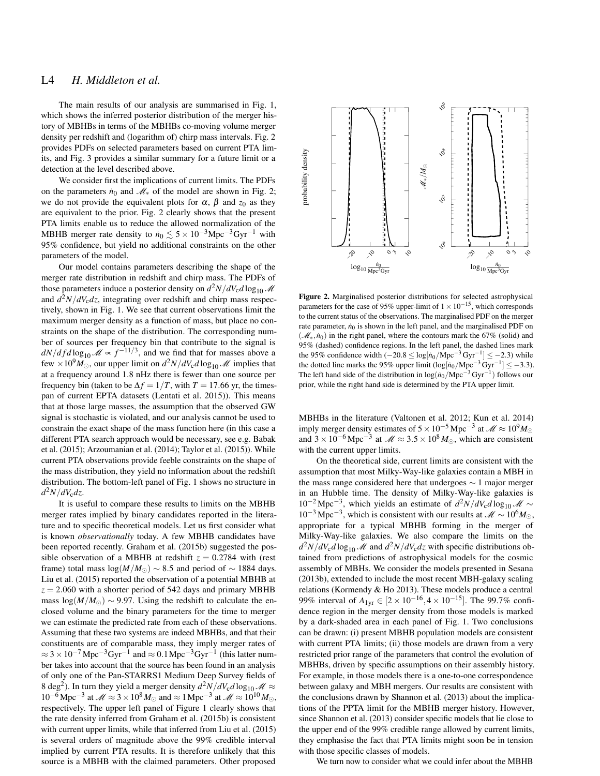# L4 *H. Middleton et al.*

The main results of our analysis are summarised in Fig. 1, which shows the inferred posterior distribution of the merger history of MBHBs in terms of the MBHBs co-moving volume merger density per redshift and (logarithm of) chirp mass intervals. Fig. 2 provides PDFs on selected parameters based on current PTA limits, and Fig. 3 provides a similar summary for a future limit or a detection at the level described above.

We consider first the implications of current limits. The PDFs on the parameters  $\dot{n}_0$  and  $\mathcal{M}_*$  of the model are shown in Fig. 2; we do not provide the equivalent plots for  $\alpha$ ,  $\beta$  and  $z_0$  as they are equivalent to the prior. Fig. 2 clearly shows that the present PTA limits enable us to reduce the allowed normalization of the MBHB merger rate density to  $\dot{n}_0 \lesssim 5 \times 10^{-3}$ Mpc<sup>-3</sup>Gyr<sup>-1</sup> with 95% confidence, but yield no additional constraints on the other parameters of the model.

Our model contains parameters describing the shape of the merger rate distribution in redshift and chirp mass. The PDFs of those parameters induce a posterior density on  $d^2N/dV_c d\log_{10} M$ and *d* <sup>2</sup>*N*/*dV*c*dz*, integrating over redshift and chirp mass respectively, shown in Fig. 1. We see that current observations limit the maximum merger density as a function of mass, but place no constraints on the shape of the distribution. The corresponding number of sources per frequency bin that contribute to the signal is  $dN/dfd \log_{10} M \propto f^{-11/3}$ , and we find that for masses above a few  $\times 10^9 M_{\odot}$ , our upper limit on  $d^2N/dV_c d\log_{10} M$  implies that at a frequency around 1.8 nHz there is fewer than one source per frequency bin (taken to be  $\Delta f = 1/T$ , with  $T = 17.66$  yr, the timespan of current EPTA datasets (Lentati et al. 2015)). This means that at those large masses, the assumption that the observed GW signal is stochastic is violated, and our analysis cannot be used to constrain the exact shape of the mass function here (in this case a different PTA search approach would be necessary, see e.g. Babak et al. (2015); Arzoumanian et al. (2014); Taylor et al. (2015)). While current PTA observations provide feeble constraints on the shape of the mass distribution, they yield no information about the redshift distribution. The bottom-left panel of Fig. 1 shows no structure in *d* <sup>2</sup>*N*/*dV*c*dz*.

It is useful to compare these results to limits on the MBHB merger rates implied by binary candidates reported in the literature and to specific theoretical models. Let us first consider what is known *observationally* today. A few MBHB candidates have been reported recently. Graham et al. (2015b) suggested the possible observation of a MBHB at redshift  $z = 0.2784$  with (rest frame) total mass  $log(M/M_{\odot}) \sim 8.5$  and period of  $\sim 1884$  days. Liu et al. (2015) reported the observation of a potential MBHB at  $z = 2.060$  with a shorter period of 542 days and primary MBHB mass  $log(M/M_{\odot}) \sim 9.97$ . Using the redshift to calculate the enclosed volume and the binary parameters for the time to merger we can estimate the predicted rate from each of these observations. Assuming that these two systems are indeed MBHBs, and that their constituents are of comparable mass, they imply merger rates of  $\approx 3 \times 10^{-7}$  Mpc<sup>-3</sup>Gyr<sup>-1</sup> and  $\approx 0.1$  Mpc<sup>-3</sup>Gyr<sup>-1</sup> (this latter number takes into account that the source has been found in an analysis of only one of the Pan-STARRS1 Medium Deep Survey fields of 8 deg<sup>2</sup>). In turn they yield a merger density  $d^2N/dV_c d\log_{10} M \approx$  $10^{-6}$  Mpc<sup>-3</sup> at  $\mathcal{M} \approx 3 \times 10^8$  *M*<sub>☉</sub> and  $\approx 1$  Mpc<sup>-3</sup> at  $\mathcal{M} \approx 10^{10}$  *M*<sub>☉</sub>, respectively. The upper left panel of Figure 1 clearly shows that the rate density inferred from Graham et al. (2015b) is consistent with current upper limits, while that inferred from Liu et al. (2015) is several orders of magnitude above the 99% credible interval implied by current PTA results. It is therefore unlikely that this source is a MBHB with the claimed parameters. Other proposed



Figure 2. Marginalised posterior distributions for selected astrophysical parameters for the case of 95% upper-limit of  $1 \times 10^{-15}$ , which corresponds to the current status of the observations. The marginalised PDF on the merger rate parameter,  $\dot{n}_0$  is shown in the left panel, and the marginalised PDF on ( $\mathcal{M}_*, \dot{n}_0$ ) in the right panel, where the contours mark the 67% (solid) and 95% (dashed) confidence regions. In the left panel, the dashed lines mark the 95% confidence width  $(-20.8 \leq \log[n_0/\text{Mpc}^{-3}\text{Gyr}^{-1}] \leq -2.3$ ) while the dotted line marks the 95% upper limit  $(\log[n_0/\text{Mpc}^{-3}\text{Gyr}^{-1}] \le -3.3)$ . The left hand side of the distribution in  $\log(n_0/Mpc^{-3} Gyr^{-1})$  follows our prior, while the right hand side is determined by the PTA upper limit.

MBHBs in the literature (Valtonen et al. 2012; Kun et al. 2014) imply merger density estimates of  $5 \times 10^{-5}$  Mpc<sup>-3</sup> at  $\mathcal{M} \approx 10^{9}$  M<sub>☉</sub> and  $3 \times 10^{-6}$  Mpc<sup>-3</sup> at  $\mathcal{M} \approx 3.5 \times 10^8$  *M*<sub>☉</sub>, which are consistent with the current upper limits.

On the theoretical side, current limits are consistent with the assumption that most Milky-Way-like galaxies contain a MBH in the mass range considered here that undergoes  $\sim$  1 major merger in an Hubble time. The density of Milky-Way-like galaxies is  $10^{-2}$  Mpc<sup>-3</sup>, which yields an estimate of  $d^2N/dV_c d\log_{10}$  *M* ∼  $10^{-3}$  Mpc<sup>-3</sup>, which is consistent with our results at  $\mathcal{M} \sim 10^{6} M_{\odot}$ , appropriate for a typical MBHB forming in the merger of Milky-Way-like galaxies. We also compare the limits on the  $d^2N/dV_c d\log_{10} M$  and  $d^2N/dV_c dz$  with specific distributions obtained from predictions of astrophysical models for the cosmic assembly of MBHs. We consider the models presented in Sesana (2013b), extended to include the most recent MBH-galaxy scaling relations (Kormendy & Ho 2013). These models produce a central 99% interval of  $A_{1yr} \in [2 \times 10^{-16}, 4 \times 10^{-15}]$ . The 99.7% confidence region in the merger density from those models is marked by a dark-shaded area in each panel of Fig. 1. Two conclusions can be drawn: (i) present MBHB population models are consistent with current PTA limits; (ii) those models are drawn from a very restricted prior range of the parameters that control the evolution of MBHBs, driven by specific assumptions on their assembly history. For example, in those models there is a one-to-one correspondence between galaxy and MBH mergers. Our results are consistent with the conclusions drawn by Shannon et al. (2013) about the implications of the PPTA limit for the MBHB merger history. However, since Shannon et al. (2013) consider specific models that lie close to the upper end of the 99% credible range allowed by current limits, they emphasise the fact that PTA limits might soon be in tension with those specific classes of models.

We turn now to consider what we could infer about the MBHB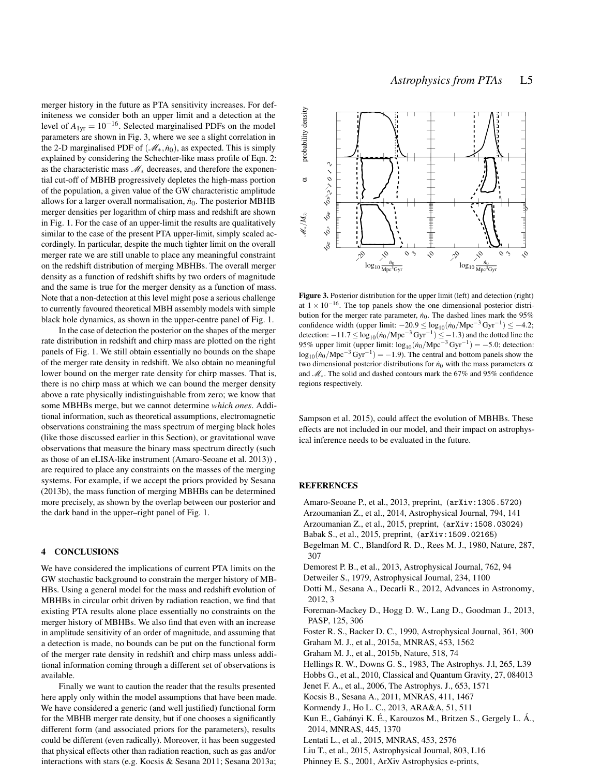merger history in the future as PTA sensitivity increases. For definiteness we consider both an upper limit and a detection at the level of  $A_{1vr} = 10^{-16}$ . Selected marginalised PDFs on the model parameters are shown in Fig. 3, where we see a slight correlation in the 2-D marginalised PDF of  $(\mathcal{M}_*, \dot{n}_0)$ , as expected. This is simply explained by considering the Schechter-like mass profile of Eqn. 2: as the characteristic mass M<sup>∗</sup> decreases, and therefore the exponential cut-off of MBHB progressively depletes the high-mass portion of the population, a given value of the GW characteristic amplitude allows for a larger overall normalisation,  $\dot{n}_0$ . The posterior MBHB merger densities per logarithm of chirp mass and redshift are shown in Fig. 1. For the case of an upper-limit the results are qualitatively similar to the case of the present PTA upper-limit, simply scaled accordingly. In particular, despite the much tighter limit on the overall merger rate we are still unable to place any meaningful constraint on the redshift distribution of merging MBHBs. The overall merger density as a function of redshift shifts by two orders of magnitude and the same is true for the merger density as a function of mass. Note that a non-detection at this level might pose a serious challenge to currently favoured theoretical MBH assembly models with simple black hole dynamics, as shown in the upper-centre panel of Fig. 1.

In the case of detection the posterior on the shapes of the merger rate distribution in redshift and chirp mass are plotted on the right panels of Fig. 1. We still obtain essentially no bounds on the shape of the merger rate density in redshift. We also obtain no meaningful lower bound on the merger rate density for chirp masses. That is, there is no chirp mass at which we can bound the merger density above a rate physically indistinguishable from zero; we know that some MBHBs merge, but we cannot determine *which ones*. Additional information, such as theoretical assumptions, electromagnetic observations constraining the mass spectrum of merging black holes (like those discussed earlier in this Section), or gravitational wave observations that measure the binary mass spectrum directly (such as those of an eLISA-like instrument (Amaro-Seoane et al. 2013)) , are required to place any constraints on the masses of the merging systems. For example, if we accept the priors provided by Sesana (2013b), the mass function of merging MBHBs can be determined more precisely, as shown by the overlap between our posterior and the dark band in the upper–right panel of Fig. 1.

#### 4 CONCLUSIONS

We have considered the implications of current PTA limits on the GW stochastic background to constrain the merger history of MB-HBs. Using a general model for the mass and redshift evolution of MBHBs in circular orbit driven by radiation reaction, we find that existing PTA results alone place essentially no constraints on the merger history of MBHBs. We also find that even with an increase in amplitude sensitivity of an order of magnitude, and assuming that a detection is made, no bounds can be put on the functional form of the merger rate density in redshift and chirp mass unless additional information coming through a different set of observations is available.

Finally we want to caution the reader that the results presented here apply only within the model assumptions that have been made. We have considered a generic (and well justified) functional form for the MBHB merger rate density, but if one chooses a significantly different form (and associated priors for the parameters), results could be different (even radically). Moreover, it has been suggested that physical effects other than radiation reaction, such as gas and/or interactions with stars (e.g. Kocsis & Sesana 2011; Sesana 2013a;



Figure 3. Posterior distribution for the upper limit (left) and detection (right) at  $1 \times 10^{-16}$ . The top panels show the one dimensional posterior distribution for the merger rate parameter,  $\dot{n}_0$ . The dashed lines mark the 95% confidence width (upper limit:  $-20.9 \le \log_{10}(n_0/Mpc^{-3}Gyr^{-1}) \le -4.2$ ; detection:  $-11.7 \le \log_{10}(n_0/Mpc^{-3} Gyr^{-1}) \le -1.3$  and the dotted line the 95% upper limit (upper limit:  $\log_{10}(n_0/\text{Mpc}^{-3}\text{Gyr}^{-1}) = -5.0$ ; detection:  $\log_{10}(\dot{n}_0/Mpc^{-3}Gyr^{-1}) = -1.9$ ). The central and bottom panels show the two dimensional posterior distributions for  $n<sub>0</sub>$  with the mass parameters  $\alpha$ and M∗. The solid and dashed contours mark the 67% and 95% confidence regions respectively.

Sampson et al. 2015), could affect the evolution of MBHBs. These effects are not included in our model, and their impact on astrophysical inference needs to be evaluated in the future.

#### REFERENCES

- Amaro-Seoane P., et al., 2013, preprint, (arXiv:1305.5720)
- Arzoumanian Z., et al., 2014, Astrophysical Journal, 794, 141
- Arzoumanian Z., et al., 2015, preprint, (arXiv:1508.03024)
- Babak S., et al., 2015, preprint, (arXiv:1509.02165)
- Begelman M. C., Blandford R. D., Rees M. J., 1980, Nature, 287, 307
- Demorest P. B., et al., 2013, Astrophysical Journal, 762, 94
- Detweiler S., 1979, Astrophysical Journal, 234, 1100
- Dotti M., Sesana A., Decarli R., 2012, Advances in Astronomy, 2012, 3
- Foreman-Mackey D., Hogg D. W., Lang D., Goodman J., 2013, PASP, 125, 306
- Foster R. S., Backer D. C., 1990, Astrophysical Journal, 361, 300
- Graham M. J., et al., 2015a, MNRAS, 453, 1562
- Graham M. J., et al., 2015b, Nature, 518, 74
- Hellings R. W., Downs G. S., 1983, The Astrophys. J.l, 265, L39
- Hobbs G., et al., 2010, Classical and Quantum Gravity, 27, 084013
- Jenet F. A., et al., 2006, The Astrophys. J., 653, 1571
- Kocsis B., Sesana A., 2011, MNRAS, 411, 1467
- Kormendy J., Ho L. C., 2013, ARA&A, 51, 511
- Kun E., Gabányi K. É., Karouzos M., Britzen S., Gergely L. Á., 2014, MNRAS, 445, 1370
- Lentati L., et al., 2015, MNRAS, 453, 2576
- Liu T., et al., 2015, Astrophysical Journal, 803, L16
- Phinney E. S., 2001, ArXiv Astrophysics e-prints,